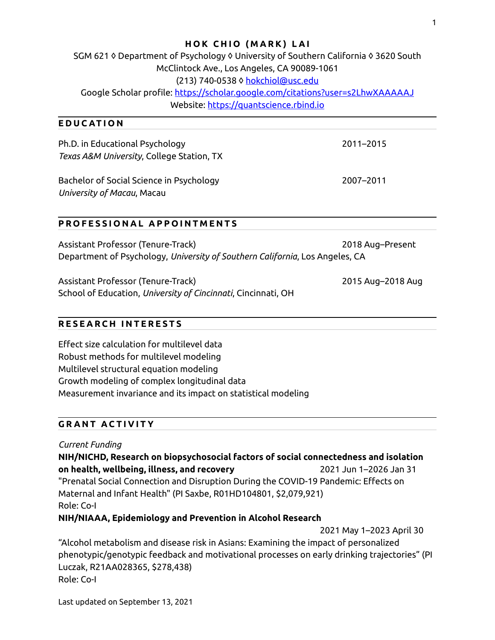#### **HOK CHIO (MARK) LAI**

SGM 621 ◊ Department of Psychology ◊ University of Southern California ◊ 3620 South McClintock Ave., Los Angeles, CA 90089-1061 (213) 740-0538 ◊ [hokchiol@usc.edu](mailto:hokchiol@usc.edu) Google Scholar profile:<https://scholar.google.com/citations?user=s2LhwXAAAAAJ> Website: [https://quantscience.rbind.io](https://quantscience.rbind.io/)

#### **E D U C AT I O N**

| Ph.D. in Educational Psychology<br>Texas A&M University, College Station, TX | 2011-2015 |
|------------------------------------------------------------------------------|-----------|
| Bachelor of Social Science in Psychology<br>University of Macau, Macau       | 2007-2011 |

#### **P R O F E S S I O N A L A P P O I N T M E N T S**

| Assistant Professor (Tenure-Track)                                           | 2018 Aug-Present |
|------------------------------------------------------------------------------|------------------|
| Department of Psychology, University of Southern California, Los Angeles, CA |                  |

Assistant Professor (Tenure-Track) 2015 Aug–2018 Aug School of Education, *University of Cincinnati*, Cincinnati, OH

### **R E S E A R C H I N T E R E S T S**

Effect size calculation for multilevel data Robust methods for multilevel modeling Multilevel structural equation modeling Growth modeling of complex longitudinal data Measurement invariance and its impact on statistical modeling

#### **GRANT ACTIVITY**

*Current Funding*

**NIH/NICHD, Research on biopsychosocial factors of social connectedness and isolation on health, wellbeing, illness, and recovery** 2021 Jun 1–2026 Jan 31 "Prenatal Social Connection and Disruption During the COVID-19 Pandemic: Effects on Maternal and Infant Health" (PI Saxbe, R01HD104801, \$2,079,921) Role: Co-I

### **NIH/NIAAA, Epidemiology and Prevention in Alcohol Research**

2021 May 1–2023 April 30

"Alcohol metabolism and disease risk in Asians: Examining the impact of personalized phenotypic/genotypic feedback and motivational processes on early drinking trajectories" (PI Luczak, R21AA028365, \$278,438) Role: Co-I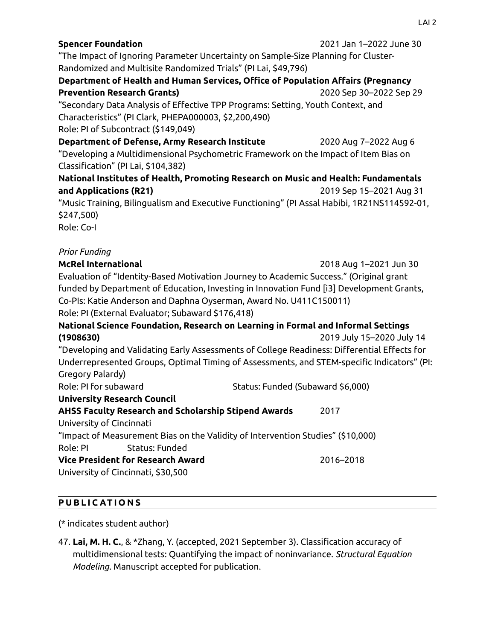| <b>Spencer Foundation</b><br>"The Impact of Ignoring Parameter Uncertainty on Sample-Size Planning for Cluster-<br>Randomized and Multisite Randomized Trials" (PI Lai, \$49,796)<br>Department of Health and Human Services, Office of Population Affairs (Pregnancy<br><b>Prevention Research Grants)</b><br>"Secondary Data Analysis of Effective TPP Programs: Setting, Youth Context, and<br>Characteristics" (PI Clark, PHEPA000003, \$2,200,490)<br>Role: PI of Subcontract (\$149,049) | 2021 Jan 1-2022 June 30<br>2020 Sep 30-2022 Sep 29 |
|------------------------------------------------------------------------------------------------------------------------------------------------------------------------------------------------------------------------------------------------------------------------------------------------------------------------------------------------------------------------------------------------------------------------------------------------------------------------------------------------|----------------------------------------------------|
| Department of Defense, Army Research Institute                                                                                                                                                                                                                                                                                                                                                                                                                                                 | 2020 Aug 7-2022 Aug 6                              |
| "Developing a Multidimensional Psychometric Framework on the Impact of Item Bias on<br>Classification" (PI Lai, \$104,382)                                                                                                                                                                                                                                                                                                                                                                     |                                                    |
| National Institutes of Health, Promoting Research on Music and Health: Fundamentals                                                                                                                                                                                                                                                                                                                                                                                                            |                                                    |
| and Applications (R21)                                                                                                                                                                                                                                                                                                                                                                                                                                                                         | 2019 Sep 15-2021 Aug 31                            |
| "Music Training, Bilingualism and Executive Functioning" (PI Assal Habibi, 1R21NS114592-01,<br>\$247,500)<br>Role: Co-I                                                                                                                                                                                                                                                                                                                                                                        |                                                    |
| <b>Prior Funding</b>                                                                                                                                                                                                                                                                                                                                                                                                                                                                           |                                                    |
| <b>McRel International</b>                                                                                                                                                                                                                                                                                                                                                                                                                                                                     | 2018 Aug 1-2021 Jun 30                             |
| Evaluation of "Identity-Based Motivation Journey to Academic Success." (Original grant<br>funded by Department of Education, Investing in Innovation Fund [i3] Development Grants,<br>Co-PIs: Katie Anderson and Daphna Oyserman, Award No. U411C150011)<br>Role: PI (External Evaluator; Subaward \$176,418)                                                                                                                                                                                  |                                                    |
| National Science Foundation, Research on Learning in Formal and Informal Settings                                                                                                                                                                                                                                                                                                                                                                                                              |                                                    |
| (1908630)                                                                                                                                                                                                                                                                                                                                                                                                                                                                                      | 2019 July 15-2020 July 14                          |
| "Developing and Validating Early Assessments of College Readiness: Differential Effects for<br>Underrepresented Groups, Optimal Timing of Assessments, and STEM-specific Indicators" (PI:<br>Gregory Palardy)                                                                                                                                                                                                                                                                                  |                                                    |
| Role: PI for subaward<br>Status: Funded (Subaward \$6,000)                                                                                                                                                                                                                                                                                                                                                                                                                                     |                                                    |
| <b>University Research Council</b>                                                                                                                                                                                                                                                                                                                                                                                                                                                             |                                                    |
| AHSS Faculty Research and Scholarship Stipend Awards<br>University of Cincinnati<br>"Impact of Measurement Bias on the Validity of Intervention Studies" (\$10,000)                                                                                                                                                                                                                                                                                                                            | 2017                                               |
| Role: PI<br>Status: Funded                                                                                                                                                                                                                                                                                                                                                                                                                                                                     |                                                    |
| <b>Vice President for Research Award</b><br>University of Cincinnati, \$30,500                                                                                                                                                                                                                                                                                                                                                                                                                 | 2016-2018                                          |

## **P U B L I C AT I O N S**

(\* indicates student author)

47. **Lai, M. H. C.**, & \*Zhang, Y. (accepted, 2021 September 3). Classification accuracy of multidimensional tests: Quantifying the impact of noninvariance. *Structural Equation Modeling*. Manuscript accepted for publication.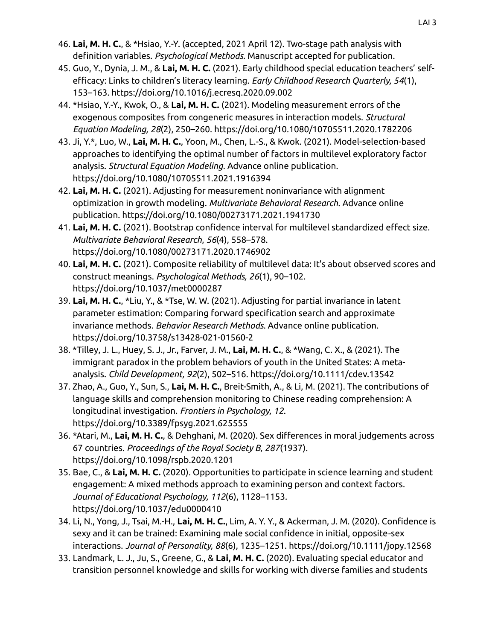- 46. **Lai, M. H. C.**, & \*Hsiao, Y.-Y. (accepted, 2021 April 12). Two-stage path analysis with definition variables. *Psychological Methods*. Manuscript accepted for publication.
- 45. Guo, Y., Dynia, J. M., & **Lai, M. H. C.** (2021). Early childhood special education teachers' selfefficacy: Links to children's literacy learning. *Early Childhood Research Quarterly, 54*(1), 153–163. https://doi.org/10.1016/j.ecresq.2020.09.002
- 44. \*Hsiao, Y.-Y., Kwok, O., & **Lai, M. H. C.** (2021). Modeling measurement errors of the exogenous composites from congeneric measures in interaction models. *Structural Equation Modeling, 28*(2), 250–260. https://doi.org/10.1080/10705511.2020.1782206
- 43. Ji, Y.\*, Luo, W., **Lai, M. H. C.**, Yoon, M., Chen, L.-S., & Kwok. (2021). Model-selection-based approaches to identifying the optimal number of factors in multilevel exploratory factor analysis. *Structural Equation Modeling*. Advance online publication. https://doi.org/10.1080/10705511.2021.1916394
- 42. **Lai, M. H. C.** (2021). Adjusting for measurement noninvariance with alignment optimization in growth modeling. *Multivariate Behavioral Research*. Advance online publication. https://doi.org/10.1080/00273171.2021.1941730
- 41. **Lai, M. H. C.** (2021). Bootstrap confidence interval for multilevel standardized effect size. *Multivariate Behavioral Research*, *56*(4), 558–578. https://doi.org/10.1080/00273171.2020.1746902
- 40. **Lai, M. H. C.** (2021). Composite reliability of multilevel data: It's about observed scores and construct meanings. *Psychological Methods, 26*(1), 90–102. https://doi.org/10.1037/met0000287
- 39. **Lai, M. H. C.**, \*Liu, Y., & \*Tse, W. W. (2021). Adjusting for partial invariance in latent parameter estimation: Comparing forward specification search and approximate invariance methods. *Behavior Research Methods*. Advance online publication. https://doi.org/10.3758/s13428-021-01560-2
- 38. \*Tilley, J. L., Huey, S. J., Jr., Farver, J. M., **Lai, M. H. C.**, & \*Wang, C. X., & (2021). The immigrant paradox in the problem behaviors of youth in the United States: A metaanalysis. *Child Development, 92*(2), 502–516. https://doi.org/10.1111/cdev.13542
- 37. Zhao, A., Guo, Y., Sun, S., **Lai, M. H. C.**, Breit-Smith, A., & Li, M. (2021). The contributions of language skills and comprehension monitoring to Chinese reading comprehension: A longitudinal investigation. *Frontiers in Psychology, 12*. https://doi.org/10.3389/fpsyg.2021.625555
- 36. \*Atari, M., **Lai, M. H. C.**, & Dehghani, M. (2020). Sex differences in moral judgements across 67 countries. *Proceedings of the Royal Society B, 287*(1937). https://doi.org/10.1098/rspb.2020.1201
- 35. Bae, C., & **Lai, M. H. C.** (2020). Opportunities to participate in science learning and student engagement: A mixed methods approach to examining person and context factors. *Journal of Educational Psychology, 112*(6), 1128–1153. https://doi.org/10.1037/edu0000410
- 34. Li, N., Yong, J., Tsai, M.-H., **Lai, M. H. C.**, Lim, A. Y. Y., & Ackerman, J. M. (2020). Confidence is sexy and it can be trained: Examining male social confidence in initial, opposite-sex interactions. *Journal of Personality, 88*(6), 1235–1251. https://doi.org/10.1111/jopy.12568
- 33. Landmark, L. J., Ju, S., Greene, G., & **Lai, M. H. C.** (2020). Evaluating special educator and transition personnel knowledge and skills for working with diverse families and students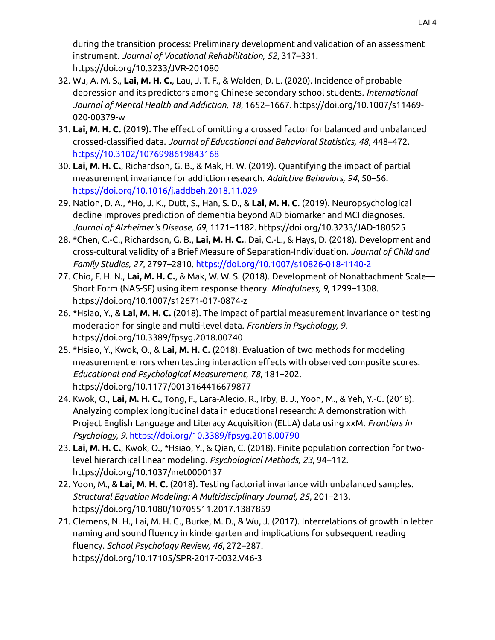during the transition process: Preliminary development and validation of an assessment instrument. *Journal of Vocational Rehabilitation, 52*, 317–331. https://doi.org/10.3233/JVR-201080

- 32. Wu, A. M. S., **Lai, M. H. C.**, Lau, J. T. F., & Walden, D. L. (2020). Incidence of probable depression and its predictors among Chinese secondary school students. *International Journal of Mental Health and Addiction, 18*, 1652–1667. https://doi.org/10.1007/s11469- 020-00379-w
- 31. **Lai, M. H. C.** (2019). The effect of omitting a crossed factor for balanced and unbalanced crossed-classified data. *Journal of Educational and Behavioral Statistics, 48*, 448–472. <https://10.3102/1076998619843168>
- 30. **Lai, M. H. C.**, Richardson, G. B., & Mak, H. W. (2019). Quantifying the impact of partial measurement invariance for addiction research. *Addictive Behaviors, 94*, 50–56. <https://doi.org/10.1016/j.addbeh.2018.11.029>
- 29. Nation, D. A., \*Ho, J. K., Dutt, S., Han, S. D., & **Lai, M. H. C**. (2019). Neuropsychological decline improves prediction of dementia beyond AD biomarker and MCI diagnoses. *Journal of Alzheimer's Disease, 69*, 1171–1182. https://doi.org/10.3233/JAD-180525
- 28. \*Chen, C.-C., Richardson, G. B., **Lai, M. H. C.**, Dai, C.-L., & Hays, D. (2018). Development and cross-cultural validity of a Brief Measure of Separation-Individuation. *Journal of Child and Family Studies, 27*, 2797–2810.<https://doi.org/10.1007/s10826-018-1140-2>
- 27. Chio, F. H. N., **Lai, M. H. C.**, & Mak, W. W. S. (2018). Development of Nonattachment Scale— Short Form (NAS-SF) using item response theory. *Mindfulness, 9*, 1299–1308. https://doi.org/10.1007/s12671-017-0874-z
- 26. \*Hsiao, Y., & **Lai, M. H. C.** (2018). The impact of partial measurement invariance on testing moderation for single and multi-level data. *Frontiers in Psychology, 9*. https://doi.org/10.3389/fpsyg.2018.00740
- 25. \*Hsiao, Y., Kwok, O., & **Lai, M. H. C.** (2018). Evaluation of two methods for modeling measurement errors when testing interaction effects with observed composite scores. *Educational and Psychological Measurement, 78*, 181–202. https://doi.org/10.1177/0013164416679877
- 24. Kwok, O., **Lai, M. H. C.**, Tong, F., Lara-Alecio, R., Irby, B. J., Yoon, M., & Yeh, Y.-C. (2018). Analyzing complex longitudinal data in educational research: A demonstration with Project English Language and Literacy Acquisition (ELLA) data using xxM. *Frontiers in Psychology, 9*.<https://doi.org/10.3389/fpsyg.2018.00790>
- 23. **Lai, M. H. C.**, Kwok, O., \*Hsiao, Y., & Qian, C. (2018). Finite population correction for twolevel hierarchical linear modeling. *Psychological Methods, 23*, 94–112. https://doi.org/10.1037/met0000137
- 22. Yoon, M., & **Lai, M. H. C.** (2018). Testing factorial invariance with unbalanced samples. *Structural Equation Modeling: A Multidisciplinary Journal, 25*, 201–213. https://doi.org/10.1080/10705511.2017.1387859
- 21. Clemens, N. H., Lai, M. H. C., Burke, M. D., & Wu, J. (2017). Interrelations of growth in letter naming and sound fluency in kindergarten and implications for subsequent reading fluency. *School Psychology Review, 46*, 272–287. https://doi.org/10.17105/SPR-2017-0032.V46-3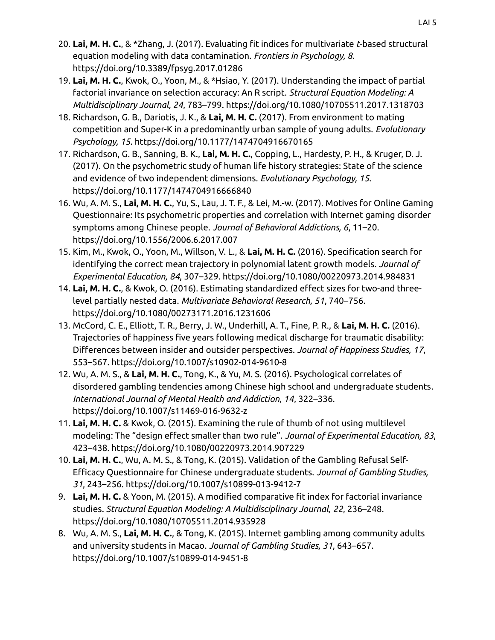- 20. **Lai, M. H. C.**, & \*Zhang, J. (2017). Evaluating fit indices for multivariate *t*-based structural equation modeling with data contamination. *Frontiers in Psychology, 8*. https://doi.org/10.3389/fpsyg.2017.01286
- 19. **Lai, M. H. C.**, Kwok, O., Yoon, M., & \*Hsiao, Y. (2017). Understanding the impact of partial factorial invariance on selection accuracy: An R script. *Structural Equation Modeling: A Multidisciplinary Journal, 24*, 783–799. https://doi.org/10.1080/10705511.2017.1318703
- 18. Richardson, G. B., Dariotis, J. K., & **Lai, M. H. C.** (2017). From environment to mating competition and Super-K in a predominantly urban sample of young adults. *Evolutionary Psychology, 15*. https://doi.org/10.1177/1474704916670165
- 17. Richardson, G. B., Sanning, B. K., **Lai, M. H. C.**, Copping, L., Hardesty, P. H., & Kruger, D. J. (2017). On the psychometric study of human life history strategies: State of the science and evidence of two independent dimensions. *Evolutionary Psychology, 15*. https://doi.org/10.1177/1474704916666840
- 16. Wu, A. M. S., **Lai, M. H. C.**, Yu, S., Lau, J. T. F., & Lei, M.-w. (2017). Motives for Online Gaming Questionnaire: Its psychometric properties and correlation with Internet gaming disorder symptoms among Chinese people. *Journal of Behavioral Addictions, 6*, 11–20. https://doi.org/10.1556/2006.6.2017.007
- 15. Kim, M., Kwok, O., Yoon, M., Willson, V. L., & **Lai, M. H. C.** (2016). Specification search for identifying the correct mean trajectory in polynomial latent growth models. *Journal of Experimental Education, 84*, 307–329. https://doi.org/10.1080/00220973.2014.984831
- 14. **Lai, M. H. C.**, & Kwok, O. (2016). Estimating standardized effect sizes for two-and threelevel partially nested data. *Multivariate Behavioral Research, 51*, 740–756. https://doi.org/10.1080/00273171.2016.1231606
- 13. McCord, C. E., Elliott, T. R., Berry, J. W., Underhill, A. T., Fine, P. R., & **Lai, M. H. C.** (2016). Trajectories of happiness five years following medical discharge for traumatic disability: Differences between insider and outsider perspectives. *Journal of Happiness Studies, 17*, 553–567. https://doi.org/10.1007/s10902-014-9610-8
- 12. Wu, A. M. S., & **Lai, M. H. C.**, Tong, K., & Yu, M. S. (2016). Psychological correlates of disordered gambling tendencies among Chinese high school and undergraduate students. *International Journal of Mental Health and Addiction, 14*, 322–336. https://doi.org/10.1007/s11469-016-9632-z
- 11. **Lai, M. H. C.** & Kwok, O. (2015). Examining the rule of thumb of not using multilevel modeling: The "design effect smaller than two rule". *Journal of Experimental Education, 83*, 423–438. https://doi.org/10.1080/00220973.2014.907229
- 10. **Lai, M. H. C.**, Wu, A. M. S., & Tong, K. (2015). Validation of the Gambling Refusal Self-Efficacy Questionnaire for Chinese undergraduate students. *Journal of Gambling Studies, 31*, 243–256. https://doi.org/10.1007/s10899-013-9412-7
- 9. **Lai, M. H. C.** & Yoon, M. (2015). A modified comparative fit index for factorial invariance studies. *Structural Equation Modeling: A Multidisciplinary Journal, 22*, 236–248. https://doi.org/10.1080/10705511.2014.935928
- 8. Wu, A. M. S., **Lai, M. H. C.**, & Tong, K. (2015). Internet gambling among community adults and university students in Macao. *Journal of Gambling Studies, 31*, 643–657. https://doi.org/10.1007/s10899-014-9451-8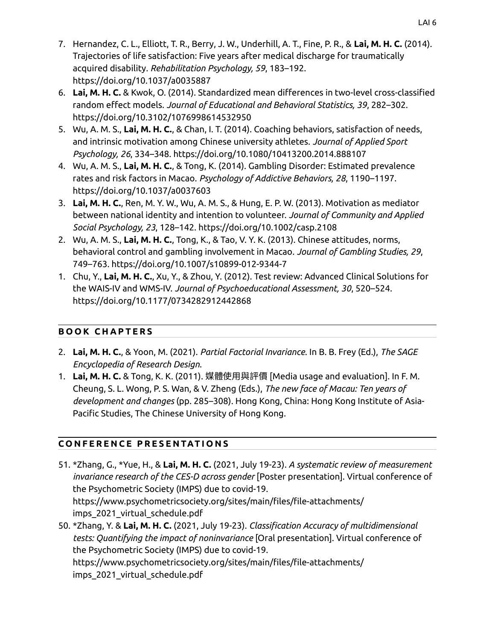- 7. Hernandez, C. L., Elliott, T. R., Berry, J. W., Underhill, A. T., Fine, P. R., & **Lai, M. H. C.** (2014). Trajectories of life satisfaction: Five years after medical discharge for traumatically acquired disability. *Rehabilitation Psychology, 59*, 183–192. https://doi.org/10.1037/a0035887
- 6. **Lai, M. H. C.** & Kwok, O. (2014). Standardized mean differences in two-level cross-classified random effect models. *Journal of Educational and Behavioral Statistics, 39*, 282–302. https://doi.org/10.3102/1076998614532950
- 5. Wu, A. M. S., **Lai, M. H. C.**, & Chan, I. T. (2014). Coaching behaviors, satisfaction of needs, and intrinsic motivation among Chinese university athletes. *Journal of Applied Sport Psychology, 26*, 334–348. https://doi.org/10.1080/10413200.2014.888107
- 4. Wu, A. M. S., **Lai, M. H. C.**, & Tong, K. (2014). Gambling Disorder: Estimated prevalence rates and risk factors in Macao. *Psychology of Addictive Behaviors, 28*, 1190–1197. https://doi.org/10.1037/a0037603
- 3. **Lai, M. H. C.**, Ren, M. Y. W., Wu, A. M. S., & Hung, E. P. W. (2013). Motivation as mediator between national identity and intention to volunteer. *Journal of Community and Applied Social Psychology, 23*, 128–142. https://doi.org/10.1002/casp.2108
- 2. Wu, A. M. S., **Lai, M. H. C.**, Tong, K., & Tao, V. Y. K. (2013). Chinese attitudes, norms, behavioral control and gambling involvement in Macao. *Journal of Gambling Studies, 29*, 749–763. https://doi.org/10.1007/s10899-012-9344-7
- 1. Chu, Y., **Lai, M. H. C.**, Xu, Y., & Zhou, Y. (2012). Test review: Advanced Clinical Solutions for the WAIS-IV and WMS-IV. *Journal of Psychoeducational Assessment, 30*, 520–524. https://doi.org/10.1177/0734282912442868

## **B O O K C H A P T E R S**

- 2. **Lai, M. H. C.**, & Yoon, M. (2021). *Partial Factorial Invariance*. In B. B. Frey (Ed.), *The SAGE Encyclopedia of Research Design*.
- 1. **Lai, M. H. C.** & Tong, K. K. (2011). 媒體使用與評價 [Media usage and evaluation]. In F. M. Cheung, S. L. Wong, P. S. Wan, & V. Zheng (Eds.), *The new face of Macau: Ten years of development and changes* (pp. 285–308). Hong Kong, China: Hong Kong Institute of Asia-Pacific Studies, The Chinese University of Hong Kong.

# **C O N F E R E N C E P R E S E N TAT I O N S**

- 51. \*Zhang, G., \*Yue, H., & **Lai, M. H. C.** (2021, July 19-23). *A systematic review of measurement invariance research of the CES-D across gender* [Poster presentation]. Virtual conference of the Psychometric Society (IMPS) due to covid-19. https://www.psychometricsociety.org/sites/main/files/file-attachments/ imps 2021 virtual schedule.pdf
- 50. \*Zhang, Y. & **Lai, M. H. C.** (2021, July 19-23). *Classification Accuracy of multidimensional tests: Quantifying the impact of noninvariance* [Oral presentation]. Virtual conference of the Psychometric Society (IMPS) due to covid-19. https://www.psychometricsociety.org/sites/main/files/file-attachments/ imps 2021 virtual schedule.pdf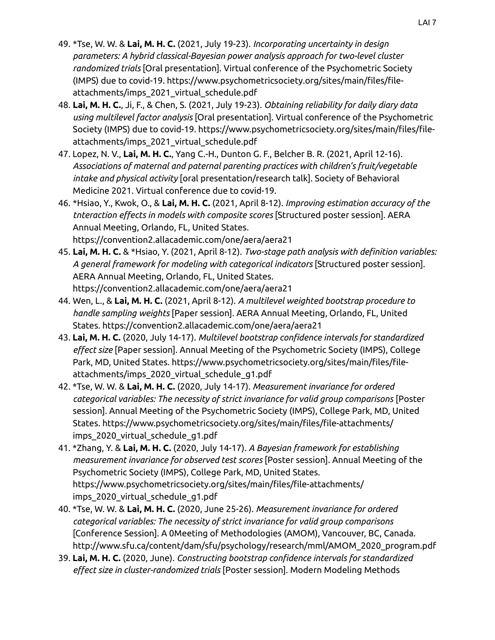- 49. \*Tse, W. W. & **Lai, M. H. C.** (2021, July 19-23). *Incorporating uncertainty in design parameters: A hybrid classical-Bayesian power analysis approach for two-level cluster randomized trials* [Oral presentation]. Virtual conference of the Psychometric Society (IMPS) due to covid-19. https://www.psychometricsociety.org/sites/main/files/fileattachments/imps\_2021\_virtual\_schedule.pdf
- 48. **Lai, M. H. C.**, Ji, F., & Chen, S. (2021, July 19-23). *Obtaining reliability for daily diary data using multilevel factor analysis* [Oral presentation]. Virtual conference of the Psychometric Society (IMPS) due to covid-19. https://www.psychometricsociety.org/sites/main/files/fileattachments/imps\_2021\_virtual\_schedule.pdf
- 47. Lopez, N. V., **Lai, M. H. C.**, Yang C.-H., Dunton G. F., Belcher B. R. (2021, April 12-16). *Associations of maternal and paternal parenting practices with children's fruit/vegetable intake and physical activity* [oral presentation/research talk]. Society of Behavioral Medicine 2021. Virtual conference due to covid-19.
- 46. \*Hsiao, Y., Kwok, O., & **Lai, M. H. C.** (2021, April 8-12). *Improving estimation accuracy of the tnteraction effects in models with composite scores* [Structured poster session]. AERA Annual Meeting, Orlando, FL, United States. https://convention2.allacademic.com/one/aera/aera21
- 45. **Lai, M. H. C.** & \*Hsiao, Y. (2021, April 8-12). *Two-stage path analysis with definition variables: A general framework for modeling with categorical indicators* [Structured poster session]. AERA Annual Meeting, Orlando, FL, United States. https://convention2.allacademic.com/one/aera/aera21
- 44. Wen, L., & **Lai, M. H. C.** (2021, April 8-12). *A multilevel weighted bootstrap procedure to handle sampling weights* [Paper session]. AERA Annual Meeting, Orlando, FL, United States. https://convention2.allacademic.com/one/aera/aera21
- 43. **Lai, M. H. C.** (2020, July 14-17). *Multilevel bootstrap confidence intervals for standardized effect size* [Paper session]. Annual Meeting of the Psychometric Society (IMPS), College Park, MD, United States. https://www.psychometricsociety.org/sites/main/files/fileattachments/imps\_2020\_virtual\_schedule\_g1.pdf
- 42. \*Tse, W. W. & **Lai, M. H. C.** (2020, July 14-17). *Measurement invariance for ordered categorical variables: The necessity of strict invariance for valid group comparisons* [Poster session]. Annual Meeting of the Psychometric Society (IMPS), College Park, MD, United States. https://www.psychometricsociety.org/sites/main/files/file-attachments/ imps\_2020\_virtual\_schedule\_g1.pdf
- 41. \*Zhang, Y. & **Lai, M. H. C.** (2020, July 14-17). *A Bayesian framework for establishing measurement invariance for observed test scores* [Poster session]. Annual Meeting of the Psychometric Society (IMPS), College Park, MD, United States. https://www.psychometricsociety.org/sites/main/files/file-attachments/ imps\_2020\_virtual\_schedule\_g1.pdf
- 40. \*Tse, W. W. & **Lai, M. H. C.** (2020, June 25-26). *Measurement invariance for ordered categorical variables: The necessity of strict invariance for valid group comparisons* [Conference Session]. A 0Meeting of Methodologies (AMOM), Vancouver, BC, Canada. http://www.sfu.ca/content/dam/sfu/psychology/research/mml/AMOM\_2020\_program.pdf
- 39. **Lai, M. H. C.** (2020, June). *Constructing bootstrap confidence intervals for standardized effect size in cluster-randomized trials* [Poster session]. Modern Modeling Methods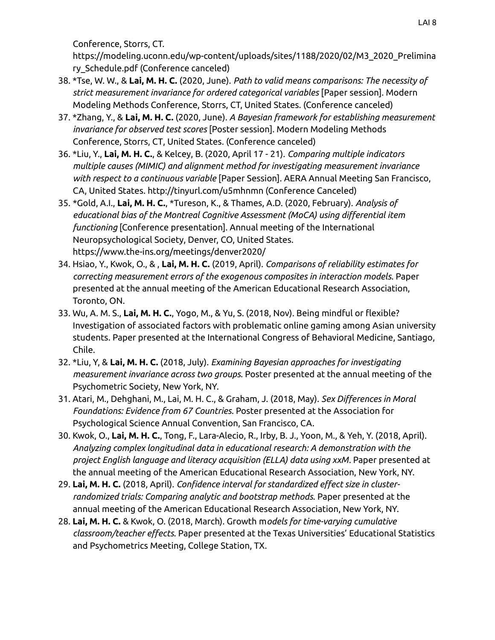Conference, Storrs, CT.

https://modeling.uconn.edu/wp-content/uploads/sites/1188/2020/02/M3\_2020\_Prelimina ry\_Schedule.pdf (Conference canceled)

- 38. \*Tse, W. W., & **Lai, M. H. C.** (2020, June). *Path to valid means comparisons: The necessity of strict measurement invariance for ordered categorical variables* [Paper session]. Modern Modeling Methods Conference, Storrs, CT, United States. (Conference canceled)
- 37. \*Zhang, Y., & **Lai, M. H. C.** (2020, June). *A Bayesian framework for establishing measurement invariance for observed test scores* [Poster session]. Modern Modeling Methods Conference, Storrs, CT, United States. (Conference canceled)
- 36. \*Liu, Y., **Lai, M. H. C.**, & Kelcey, B. (2020, April 17 21). *Comparing multiple indicators multiple causes (MIMIC) and alignment method for investigating measurement invariance with respect to a continuous variable* [Paper Session]. AERA Annual Meeting San Francisco, CA, United States. http://tinyurl.com/u5mhnmn (Conference Canceled)
- 35. \*Gold, A.I., **Lai, M. H. C.**, \*Tureson, K., & Thames, A.D. (2020, February). *Analysis of educational bias of the Montreal Cognitive Assessment (MoCA) using differential item functioning* [Conference presentation]. Annual meeting of the International Neuropsychological Society, Denver, CO, United States. https://www.the-ins.org/meetings/denver2020/
- 34. Hsiao, Y., Kwok, O., & , **Lai, M. H. C.** (2019, April). *Comparisons of reliability estimates for correcting measurement errors of the exogenous composites in interaction models*. Paper presented at the annual meeting of the American Educational Research Association, Toronto, ON.
- 33. Wu, A. M. S., **Lai, M. H. C.**, Yogo, M., & Yu, S. (2018, Nov). Being mindful or flexible? Investigation of associated factors with problematic online gaming among Asian university students. Paper presented at the International Congress of Behavioral Medicine, Santiago, Chile.
- 32. \*Liu, Y, & **Lai, M. H. C.** (2018, July). *Examining Bayesian approaches for investigating measurement invariance across two groups*. Poster presented at the annual meeting of the Psychometric Society, New York, NY.
- 31. Atari, M., Dehghani, M., Lai, M. H. C., & Graham, J. (2018, May). *Sex Differences in Moral Foundations: Evidence from 67 Countries*. Poster presented at the Association for Psychological Science Annual Convention, San Francisco, CA.
- 30. Kwok, O., **Lai, M. H. C.**, Tong, F., Lara-Alecio, R., Irby, B. J., Yoon, M., & Yeh, Y. (2018, April). *Analyzing complex longitudinal data in educational research: A demonstration with the project English language and literacy acquisition (ELLA) data using xxM*. Paper presented at the annual meeting of the American Educational Research Association, New York, NY.
- 29. **Lai, M. H. C.** (2018, April). *Confidence interval for standardized effect size in clusterrandomized trials: Comparing analytic and bootstrap methods.* Paper presented at the annual meeting of the American Educational Research Association, New York, NY.
- 28. **Lai, M. H. C.** & Kwok, O. (2018, March). Growth m*odels for time-varying cumulative classroom/teacher effects.* Paper presented at the Texas Universities' Educational Statistics and Psychometrics Meeting, College Station, TX.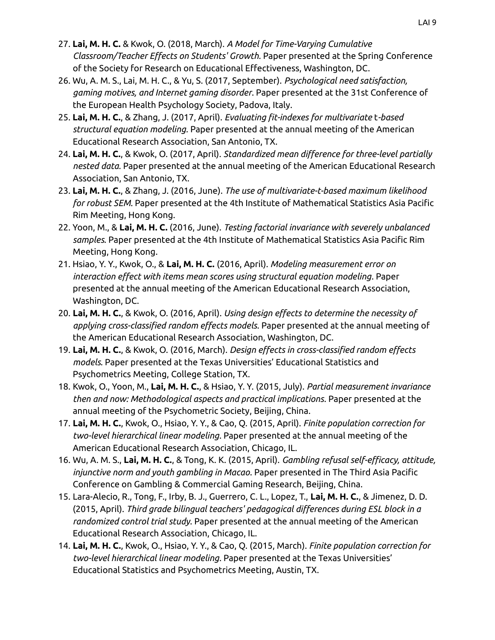- 27. **Lai, M. H. C.** & Kwok, O. (2018, March). *A Model for Time-Varying Cumulative Classroom/Teacher Effects on Students' Growth.* Paper presented at the Spring Conference of the Society for Research on Educational Effectiveness, Washington, DC.
- 26. Wu, A. M. S., Lai, M. H. C., & Yu, S. (2017, September). *Psychological need satisfaction, gaming motives, and Internet gaming disorder*. Paper presented at the 31st Conference of the European Health Psychology Society, Padova, Italy.
- 25. **Lai, M. H. C.**, & Zhang, J. (2017, April). *Evaluating fit-indexes for multivariate* t*-based structural equation modeling.* Paper presented at the annual meeting of the American Educational Research Association, San Antonio, TX.
- 24. **Lai, M. H. C.**, & Kwok, O. (2017, April). *Standardized mean difference for three-level partially nested data.* Paper presented at the annual meeting of the American Educational Research Association, San Antonio, TX.
- 23. **Lai, M. H. C.**, & Zhang, J. (2016, June). *The use of multivariate-t-based maximum likelihood for robust SEM*. Paper presented at the 4th Institute of Mathematical Statistics Asia Pacific Rim Meeting, Hong Kong.
- 22. Yoon, M., & **Lai, M. H. C.** (2016, June). *Testing factorial invariance with severely unbalanced samples*. Paper presented at the 4th Institute of Mathematical Statistics Asia Pacific Rim Meeting, Hong Kong.
- 21. Hsiao, Y. Y., Kwok, O., & **Lai, M. H. C.** (2016, April). *Modeling measurement error on interaction effect with items mean scores using structural equation modeling*. Paper presented at the annual meeting of the American Educational Research Association, Washington, DC.
- 20. **Lai, M. H. C.**, & Kwok, O. (2016, April). *Using design effects to determine the necessity of applying cross-classified random effects models*. Paper presented at the annual meeting of the American Educational Research Association, Washington, DC.
- 19. **Lai, M. H. C.**, & Kwok, O. (2016, March). *Design effects in cross-classified random effects models*. Paper presented at the Texas Universities' Educational Statistics and Psychometrics Meeting, College Station, TX.
- 18. Kwok, O., Yoon, M., **Lai, M. H. C.**, & Hsiao, Y. Y. (2015, July). *Partial measurement invariance then and now: Methodological aspects and practical implications*. Paper presented at the annual meeting of the Psychometric Society, Beijing, China.
- 17. **Lai, M. H. C.**, Kwok, O., Hsiao, Y. Y., & Cao, Q. (2015, April). *Finite population correction for two-level hierarchical linear modeling*. Paper presented at the annual meeting of the American Educational Research Association, Chicago, IL.
- 16. Wu, A. M. S., **Lai, M. H. C.**, & Tong, K. K. (2015, April). *Gambling refusal self-efficacy, attitude, injunctive norm and youth gambling in Macao*. Paper presented in The Third Asia Pacific Conference on Gambling & Commercial Gaming Research, Beijing, China.
- 15. Lara-Alecio, R., Tong, F., Irby, B. J., Guerrero, C. L., Lopez, T., **Lai, M. H. C.**, & Jimenez, D. D. (2015, April). *Third grade bilingual teachers' pedagogical differences during ESL block in a randomized control trial study*. Paper presented at the annual meeting of the American Educational Research Association, Chicago, IL.
- 14. **Lai, M. H. C.**, Kwok, O., Hsiao, Y. Y., & Cao, Q. (2015, March). *Finite population correction for two-level hierarchical linear modeling*. Paper presented at the Texas Universities' Educational Statistics and Psychometrics Meeting, Austin, TX.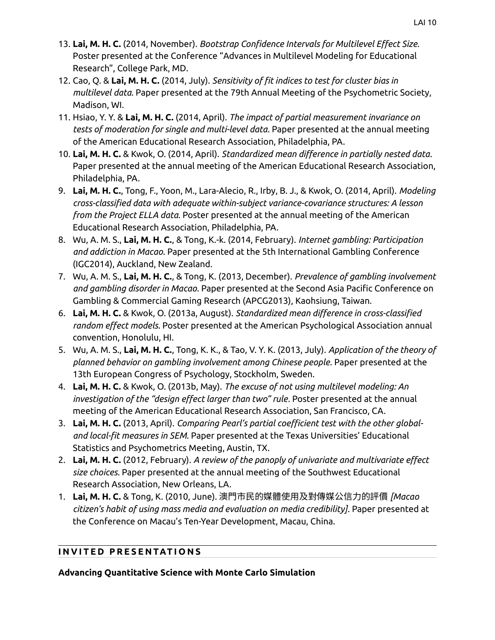- 13. **Lai, M. H. C.** (2014, November). *Bootstrap Confidence Intervals for Multilevel Effect Size*. Poster presented at the Conference "Advances in Multilevel Modeling for Educational Research", College Park, MD.
- 12. Cao, Q. & **Lai, M. H. C.** (2014, July). *Sensitivity of fit indices to test for cluster bias in multilevel data*. Paper presented at the 79th Annual Meeting of the Psychometric Society, Madison, WI.
- 11. Hsiao, Y. Y. & **Lai, M. H. C.** (2014, April). *The impact of partial measurement invariance on tests of moderation for single and multi-level data*. Paper presented at the annual meeting of the American Educational Research Association, Philadelphia, PA.
- 10. **Lai, M. H. C.** & Kwok, O. (2014, April). *Standardized mean difference in partially nested data*. Paper presented at the annual meeting of the American Educational Research Association, Philadelphia, PA.
- 9. **Lai, M. H. C.**, Tong, F., Yoon, M., Lara-Alecio, R., Irby, B. J., & Kwok, O. (2014, April). *Modeling cross-classified data with adequate within-subject variance-covariance structures: A lesson from the Project ELLA data*. Poster presented at the annual meeting of the American Educational Research Association, Philadelphia, PA.
- 8. Wu, A. M. S., **Lai, M. H. C.**, & Tong, K.-k. (2014, February). *Internet gambling: Participation and addiction in Macao*. Paper presented at the 5th International Gambling Conference (IGC2014), Auckland, New Zealand.
- 7. Wu, A. M. S., **Lai, M. H. C.**, & Tong, K. (2013, December). *Prevalence of gambling involvement and gambling disorder in Macao*. Paper presented at the Second Asia Pacific Conference on Gambling & Commercial Gaming Research (APCG2013), Kaohsiung, Taiwan.
- 6. **Lai, M. H. C.** & Kwok, O. (2013a, August). *Standardized mean difference in cross-classified random effect models*. Poster presented at the American Psychological Association annual convention, Honolulu, HI.
- 5. Wu, A. M. S., **Lai, M. H. C.**, Tong, K. K., & Tao, V. Y. K. (2013, July). *Application of the theory of planned behavior on gambling involvement among Chinese people*. Paper presented at the 13th European Congress of Psychology, Stockholm, Sweden.
- 4. **Lai, M. H. C.** & Kwok, O. (2013b, May). *The excuse of not using multilevel modeling: An investigation of the "design effect larger than two" rule*. Poster presented at the annual meeting of the American Educational Research Association, San Francisco, CA.
- 3. **Lai, M. H. C.** (2013, April). *Comparing Pearl's partial coefficient test with the other globaland local-fit measures in SEM*. Paper presented at the Texas Universities' Educational Statistics and Psychometrics Meeting, Austin, TX.
- 2. **Lai, M. H. C.** (2012, February). *A review of the panoply of univariate and multivariate effect size choices*. Paper presented at the annual meeting of the Southwest Educational Research Association, New Orleans, LA.
- 1. **Lai, M. H. C.** & Tong, K. (2010, June). 澳門市民的媒體使用及對傳媒公信力的評價 *[Macao citizen's habit of using mass media and evaluation on media credibility]*. Paper presented at the Conference on Macau's Ten-Year Development, Macau, China.

## **INVITED PRESENTATIONS**

**Advancing Quantitative Science with Monte Carlo Simulation**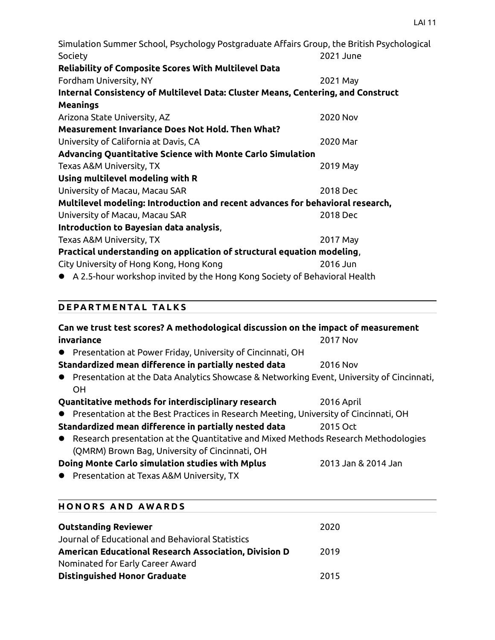Simulation Summer School, Psychology Postgraduate Affairs Group, the British Psychological Society 2021 June **Reliability of Composite Scores With Multilevel Data** Fordham University, NY 2021 May **Internal Consistency of Multilevel Data: Cluster Means, Centering, and Construct Meanings** Arizona State University, AZ 2020 Nov **Measurement Invariance Does Not Hold. Then What?** University of California at Davis, CA 2020 Mar **Advancing Quantitative Science with Monte Carlo Simulation** Texas A&M University, TX 2019 May **Using multilevel modeling with R**  University of Macau, Macau SAR 2018 Dec **Multilevel modeling: Introduction and recent advances for behavioral research,**  University of Macau, Macau SAR 2018 Dec **Introduction to Bayesian data analysis**, Texas A&M University, TX 2017 May **Practical understanding on application of structural equation modeling**, City University of Hong Kong, Hong Kong 2016 Jun

A 2.5-hour workshop invited by the Hong Kong Society of Behavioral Health

## **D E PA R T M E N TA L TA L K S**

| Can we trust test scores? A methodological discussion on the impact of measurement          |                     |
|---------------------------------------------------------------------------------------------|---------------------|
| invariance                                                                                  | 2017 Nov            |
| • Presentation at Power Friday, University of Cincinnati, OH                                |                     |
| Standardized mean difference in partially nested data                                       | 2016 Nov            |
| • Presentation at the Data Analytics Showcase & Networking Event, University of Cincinnati, |                     |
| <b>OH</b>                                                                                   |                     |
| Quantitative methods for interdisciplinary research                                         | 2016 April          |
| Presentation at the Best Practices in Research Meeting, University of Cincinnati, OH        |                     |
| Standardized mean difference in partially nested data                                       | 2015 Oct            |
| • Research presentation at the Quantitative and Mixed Methods Research Methodologies        |                     |
| (QMRM) Brown Bag, University of Cincinnati, OH                                              |                     |
| Doing Monte Carlo simulation studies with Mplus                                             | 2013 Jan & 2014 Jan |
| Presentation at Texas A&M University, TX                                                    |                     |
|                                                                                             |                     |
|                                                                                             |                     |

| <b>HONORS AND AWARDS</b>                              |      |  |
|-------------------------------------------------------|------|--|
| <b>Outstanding Reviewer</b>                           | 2020 |  |
| Journal of Educational and Behavioral Statistics      |      |  |
| American Educational Research Association, Division D | 2019 |  |
| Nominated for Early Career Award                      |      |  |
| <b>Distinguished Honor Graduate</b>                   | 2015 |  |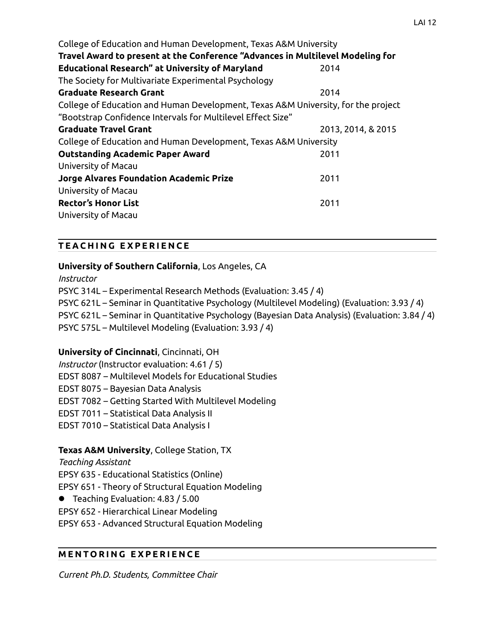| College of Education and Human Development, Texas A&M University                  |                    |
|-----------------------------------------------------------------------------------|--------------------|
| Travel Award to present at the Conference "Advances in Multilevel Modeling for    |                    |
| <b>Educational Research" at University of Maryland</b>                            | 2014               |
| The Society for Multivariate Experimental Psychology                              |                    |
| <b>Graduate Research Grant</b>                                                    | 2014               |
| College of Education and Human Development, Texas A&M University, for the project |                    |
| "Bootstrap Confidence Intervals for Multilevel Effect Size"                       |                    |
| <b>Graduate Travel Grant</b>                                                      | 2013, 2014, & 2015 |
| College of Education and Human Development, Texas A&M University                  |                    |
| <b>Outstanding Academic Paper Award</b>                                           | 2011               |
| University of Macau                                                               |                    |
| <b>Jorge Alvares Foundation Academic Prize</b>                                    | 2011               |
| University of Macau                                                               |                    |
| <b>Rector's Honor List</b>                                                        | 2011               |
| University of Macau                                                               |                    |

### **T E A C H I N G E X P E R I E N C E**

### **University of Southern California**, Los Angeles, CA

*Instructor* PSYC 314L – Experimental Research Methods (Evaluation: 3.45 / 4) PSYC 621L – Seminar in Quantitative Psychology (Multilevel Modeling) (Evaluation: 3.93 / 4) PSYC 621L – Seminar in Quantitative Psychology (Bayesian Data Analysis) (Evaluation: 3.84 / 4) PSYC 575L – Multilevel Modeling (Evaluation: 3.93 / 4)

### **University of Cincinnati**, Cincinnati, OH

*Instructor* (Instructor evaluation: 4.61 / 5)

EDST 8087 – Multilevel Models for Educational Studies

EDST 8075 – Bayesian Data Analysis

EDST 7082 – Getting Started With Multilevel Modeling

EDST 7011 – Statistical Data Analysis II

EDST 7010 – Statistical Data Analysis I

## **Texas A&M University**, College Station, TX

*Teaching Assistant*

EPSY 635 - Educational Statistics (Online)

EPSY 651 - Theory of Structural Equation Modeling

Teaching Evaluation: 4.83 / 5.00

EPSY 652 - Hierarchical Linear Modeling

EPSY 653 - Advanced Structural Equation Modeling

### **M E N T O R I N G E X P E R I E N C E**

*Current Ph.D. Students, Committee Chair*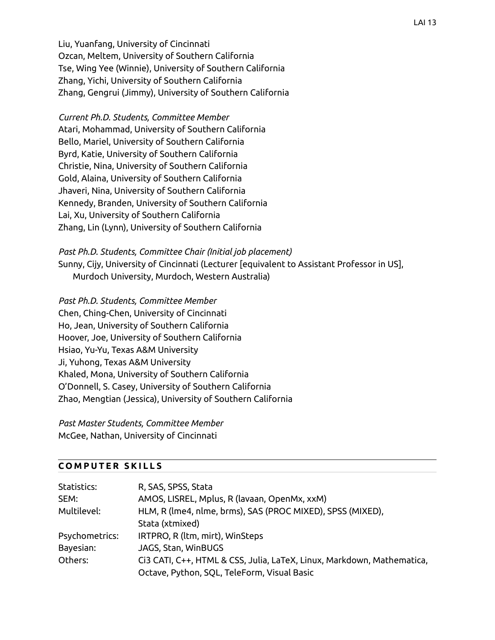Liu, Yuanfang, University of Cincinnati Ozcan, Meltem, University of Southern California Tse, Wing Yee (Winnie), University of Southern California Zhang, Yichi, University of Southern California Zhang, Gengrui (Jimmy), University of Southern California

*Current Ph.D. Students, Committee Member* Atari, Mohammad, University of Southern California Bello, Mariel, University of Southern California Byrd, Katie, University of Southern California Christie, Nina, University of Southern California Gold, Alaina, University of Southern California Jhaveri, Nina, University of Southern California Kennedy, Branden, University of Southern California Lai, Xu, University of Southern California Zhang, Lin (Lynn), University of Southern California

*Past Ph.D. Students, Committee Chair (Initial job placement)* Sunny, Cijy, University of Cincinnati (Lecturer [equivalent to Assistant Professor in US], Murdoch University, Murdoch, Western Australia)

*Past Ph.D. Students, Committee Member* Chen, Ching-Chen, University of Cincinnati Ho, Jean, University of Southern California Hoover, Joe, University of Southern California Hsiao, Yu-Yu, Texas A&M University Ji, Yuhong, Texas A&M University Khaled, Mona, University of Southern California O'Donnell, S. Casey, University of Southern California Zhao, Mengtian (Jessica), University of Southern California

*Past Master Students, Committee Member* McGee, Nathan, University of Cincinnati

#### **C O M P U T E R S K I L L S**

| Statistics:    | R, SAS, SPSS, Stata                                                    |
|----------------|------------------------------------------------------------------------|
| SEM:           | AMOS, LISREL, Mplus, R (lavaan, OpenMx, xxM)                           |
| Multilevel:    | HLM, R (lme4, nlme, brms), SAS (PROC MIXED), SPSS (MIXED),             |
|                | Stata (xtmixed)                                                        |
| Psychometrics: | IRTPRO, R (ltm, mirt), WinSteps                                        |
| Bayesian:      | JAGS, Stan, WinBUGS                                                    |
| Others:        | Ci3 CATI, C++, HTML & CSS, Julia, LaTeX, Linux, Markdown, Mathematica, |
|                | Octave, Python, SQL, TeleForm, Visual Basic                            |